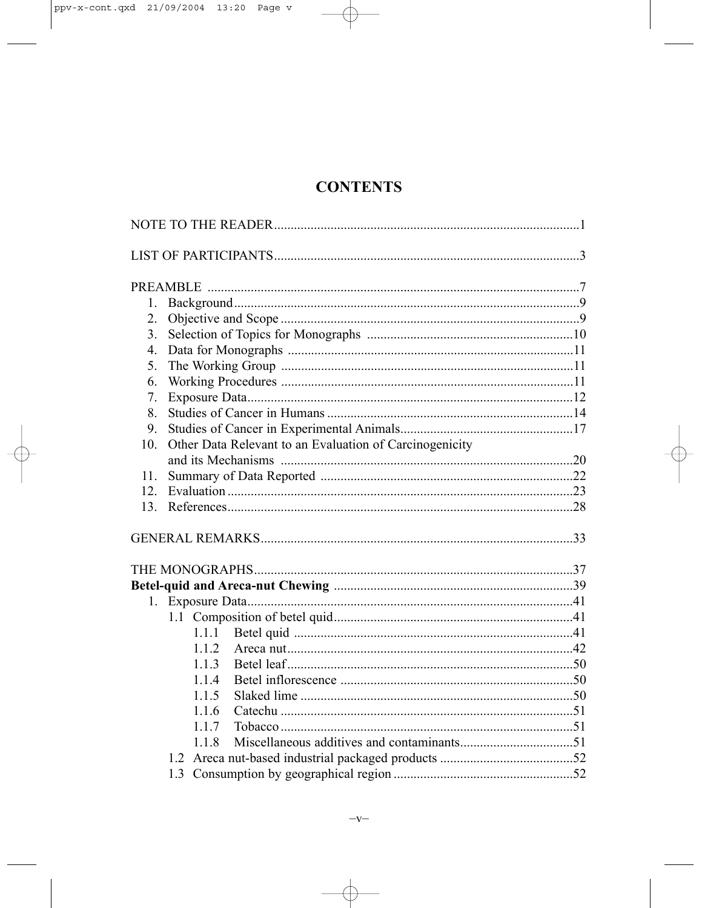# **CONTENTS**

| 1.              |                                                         |  |  |
|-----------------|---------------------------------------------------------|--|--|
| 2.              |                                                         |  |  |
| 3 <sub>1</sub>  |                                                         |  |  |
| $\overline{4}$  |                                                         |  |  |
| 5.              |                                                         |  |  |
| 6.              |                                                         |  |  |
| 7.              |                                                         |  |  |
| 8.              |                                                         |  |  |
| 9.              |                                                         |  |  |
| 10 <sub>l</sub> | Other Data Relevant to an Evaluation of Carcinogenicity |  |  |
|                 |                                                         |  |  |
| 11.             |                                                         |  |  |
| 12.             |                                                         |  |  |
| 13.             |                                                         |  |  |
|                 |                                                         |  |  |
|                 |                                                         |  |  |
|                 |                                                         |  |  |
|                 |                                                         |  |  |
|                 |                                                         |  |  |
|                 | 1.1.1                                                   |  |  |
|                 | 1.1.2                                                   |  |  |
|                 | 1.1.3                                                   |  |  |
|                 | 1.1.4                                                   |  |  |
|                 | 1.1.5                                                   |  |  |
|                 | 116                                                     |  |  |
|                 | 1.1.7                                                   |  |  |
|                 | 118                                                     |  |  |
|                 |                                                         |  |  |
|                 |                                                         |  |  |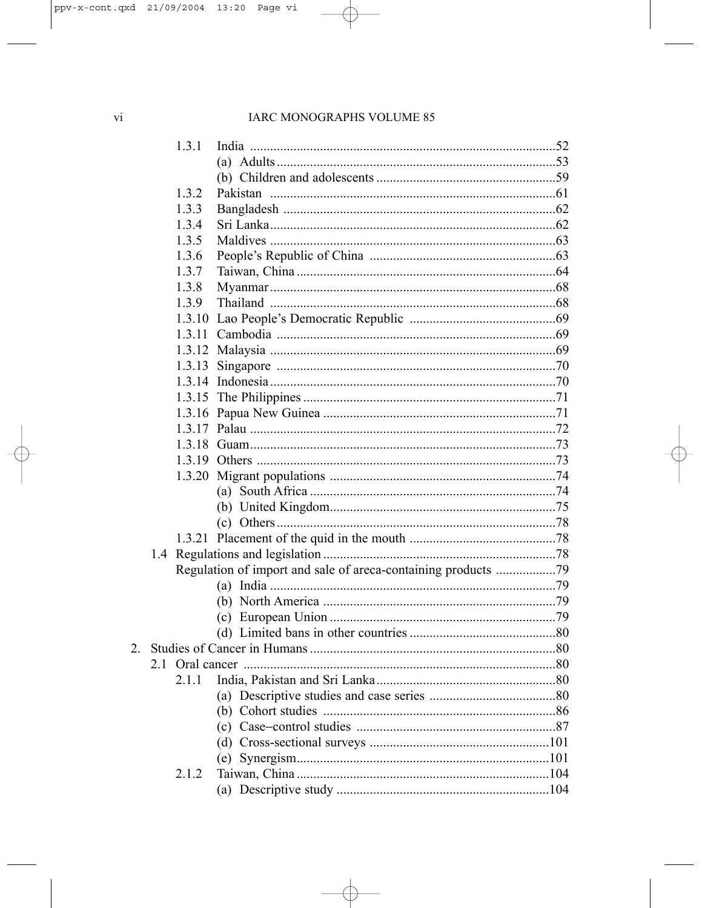## IARC MONOGRAPHS VOLUME 85

| 1.3.1  |                                                               |  |
|--------|---------------------------------------------------------------|--|
|        |                                                               |  |
|        |                                                               |  |
| 1.3.2  |                                                               |  |
| 1.3.3  |                                                               |  |
| 1.3.4  |                                                               |  |
| 1.3.5  |                                                               |  |
| 1.3.6  |                                                               |  |
| 1.3.7  |                                                               |  |
| 1.3.8  |                                                               |  |
| 1.3.9  |                                                               |  |
| 1.3.10 |                                                               |  |
|        |                                                               |  |
|        |                                                               |  |
| 1.3.13 |                                                               |  |
|        |                                                               |  |
|        |                                                               |  |
|        |                                                               |  |
|        |                                                               |  |
|        |                                                               |  |
|        |                                                               |  |
|        |                                                               |  |
|        |                                                               |  |
|        |                                                               |  |
|        |                                                               |  |
|        |                                                               |  |
| 1.4    |                                                               |  |
|        | Regulation of import and sale of areca-containing products 79 |  |
|        |                                                               |  |
|        |                                                               |  |
|        |                                                               |  |
|        |                                                               |  |
|        |                                                               |  |
| 2.1    |                                                               |  |
|        | 2.1.1 India. Pakistan and Sri Lanka.                          |  |
|        |                                                               |  |
|        |                                                               |  |
|        |                                                               |  |
|        |                                                               |  |
|        |                                                               |  |
| 2.1.2  |                                                               |  |
|        |                                                               |  |
|        |                                                               |  |

2.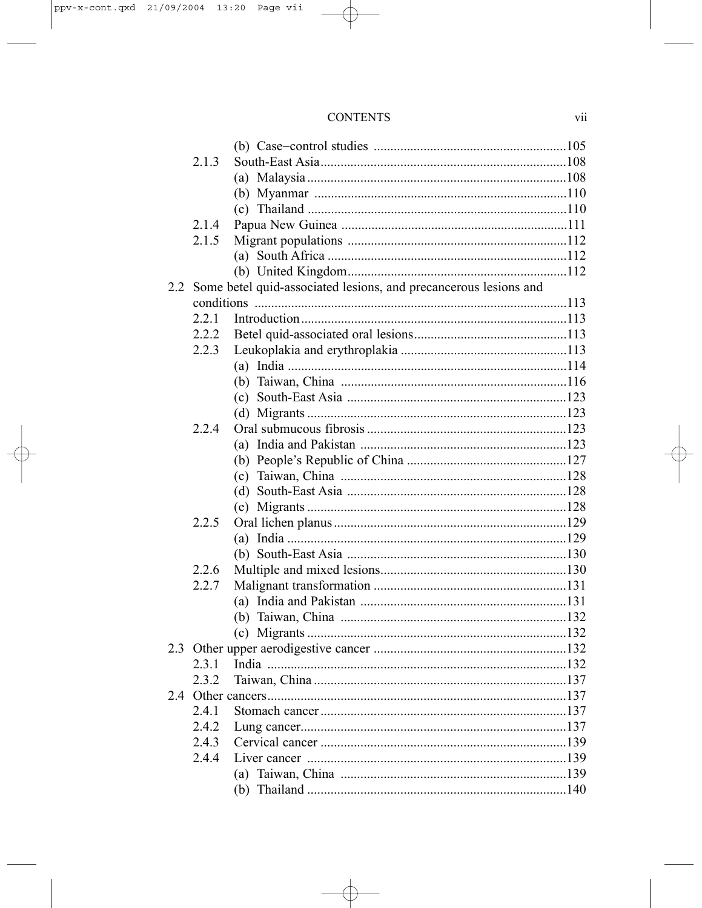## **CONTENTS**

| 2.1.3 |                                                                      |  |
|-------|----------------------------------------------------------------------|--|
|       |                                                                      |  |
|       |                                                                      |  |
|       |                                                                      |  |
| 2.1.4 |                                                                      |  |
| 2.1.5 |                                                                      |  |
|       |                                                                      |  |
|       |                                                                      |  |
|       | 2.2 Some betel quid-associated lesions, and precancerous lesions and |  |
|       |                                                                      |  |
| 2.2.1 |                                                                      |  |
| 2.2.2 |                                                                      |  |
| 2.2.3 |                                                                      |  |
|       |                                                                      |  |
|       |                                                                      |  |
|       |                                                                      |  |
|       |                                                                      |  |
| 224   |                                                                      |  |
|       |                                                                      |  |
|       |                                                                      |  |
|       |                                                                      |  |
|       |                                                                      |  |
|       |                                                                      |  |
| 2.2.5 |                                                                      |  |
|       |                                                                      |  |
|       |                                                                      |  |
| 2.2.6 |                                                                      |  |
| 2.2.7 |                                                                      |  |
|       |                                                                      |  |
|       |                                                                      |  |
|       |                                                                      |  |
|       |                                                                      |  |
| 231   |                                                                      |  |
| 232   |                                                                      |  |
|       |                                                                      |  |
| 2.4.1 |                                                                      |  |
| 2.4.2 |                                                                      |  |
| 2.4.3 |                                                                      |  |
| 2.4.4 |                                                                      |  |
|       |                                                                      |  |
|       |                                                                      |  |
|       |                                                                      |  |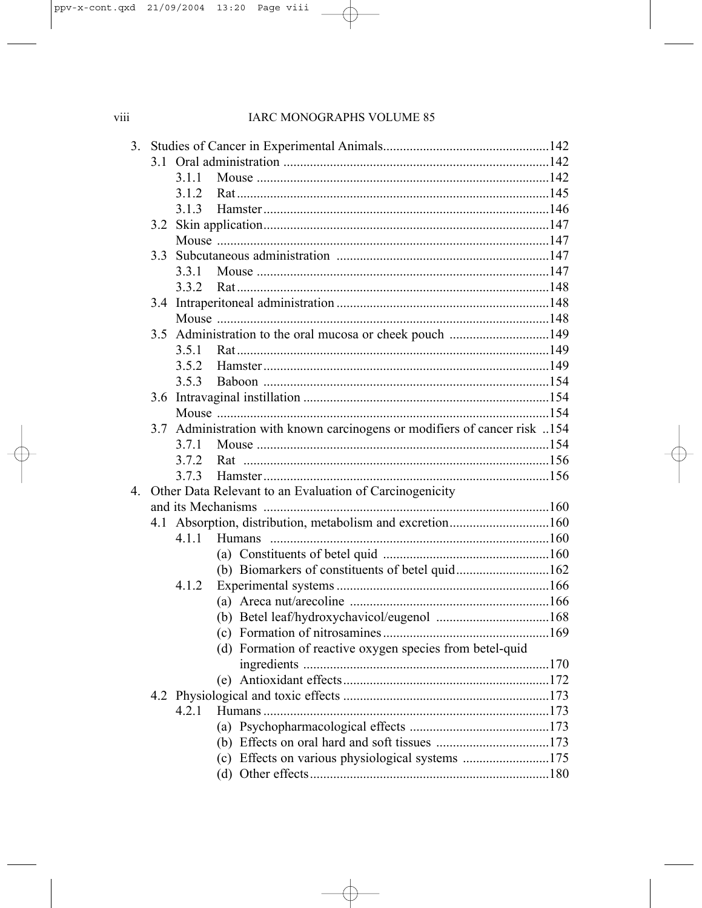## IARC MONOGRAPHS VOLUME 85

| 3.             |     |       |                                                                           |  |
|----------------|-----|-------|---------------------------------------------------------------------------|--|
|                |     |       |                                                                           |  |
|                |     | 311   |                                                                           |  |
|                |     | 3.1.2 |                                                                           |  |
|                |     | 3.1.3 |                                                                           |  |
|                |     |       |                                                                           |  |
|                |     |       |                                                                           |  |
|                |     |       |                                                                           |  |
|                |     | 3.3.1 |                                                                           |  |
|                |     | 3.3.2 |                                                                           |  |
|                |     |       |                                                                           |  |
|                |     |       |                                                                           |  |
|                |     |       | 3.5 Administration to the oral mucosa or cheek pouch 149                  |  |
|                |     | 3.5.1 |                                                                           |  |
|                |     | 352   |                                                                           |  |
|                |     | 353   |                                                                           |  |
|                |     |       |                                                                           |  |
|                |     |       |                                                                           |  |
|                |     |       | 3.7 Administration with known carcinogens or modifiers of cancer risk 154 |  |
|                |     | 3.7.1 |                                                                           |  |
|                |     | 372   |                                                                           |  |
|                |     | 3.7.3 |                                                                           |  |
| $\overline{4}$ |     |       | Other Data Relevant to an Evaluation of Carcinogenicity                   |  |
|                |     |       |                                                                           |  |
|                | 4.1 |       | Absorption, distribution, metabolism and excretion160                     |  |
|                |     | 4.1.1 |                                                                           |  |
|                |     |       |                                                                           |  |
|                |     |       | (b) Biomarkers of constituents of betel quid162                           |  |
|                |     | 4.1.2 |                                                                           |  |
|                |     |       |                                                                           |  |
|                |     |       |                                                                           |  |
|                |     |       |                                                                           |  |
|                |     |       | (d) Formation of reactive oxygen species from betel-quid                  |  |
|                |     |       |                                                                           |  |
|                |     |       |                                                                           |  |
|                |     |       |                                                                           |  |
|                |     | 4.2.1 |                                                                           |  |
|                |     |       | (a)                                                                       |  |
|                |     |       |                                                                           |  |
|                |     |       | (c) Effects on various physiological systems 175                          |  |
|                |     |       |                                                                           |  |
|                |     |       |                                                                           |  |

viii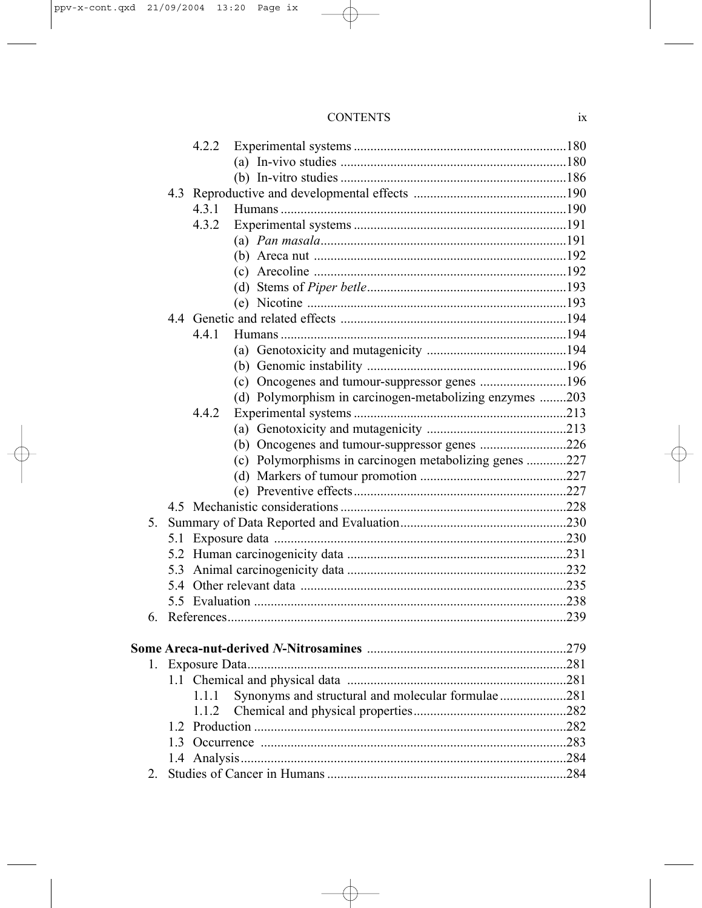|         |    | 4.2.2 |                                                         |     |
|---------|----|-------|---------------------------------------------------------|-----|
|         |    |       |                                                         |     |
|         |    |       |                                                         |     |
|         |    |       |                                                         |     |
|         |    | 4.3.1 |                                                         |     |
|         |    | 4.3.2 |                                                         |     |
|         |    |       |                                                         |     |
|         |    |       |                                                         |     |
|         |    |       |                                                         |     |
|         |    |       |                                                         |     |
|         |    |       |                                                         |     |
|         |    |       |                                                         |     |
|         |    | 441   |                                                         |     |
|         |    |       |                                                         |     |
|         |    |       |                                                         |     |
|         |    |       | (c) Oncogenes and tumour-suppressor genes 196           |     |
|         |    |       | (d) Polymorphism in carcinogen-metabolizing enzymes 203 |     |
|         |    | 4.4.2 |                                                         |     |
|         |    |       |                                                         |     |
|         |    |       | (b) Oncogenes and tumour-suppressor genes 226           |     |
|         |    |       | (c) Polymorphisms in carcinogen metabolizing genes 227  |     |
|         |    |       |                                                         |     |
|         |    |       |                                                         |     |
|         |    |       |                                                         |     |
| $5_{-}$ |    |       |                                                         |     |
|         |    |       |                                                         |     |
|         |    |       |                                                         |     |
|         |    |       |                                                         |     |
|         |    |       |                                                         |     |
|         |    |       |                                                         |     |
| 6.      |    |       |                                                         |     |
|         |    |       |                                                         |     |
|         |    |       |                                                         |     |
|         |    |       |                                                         |     |
|         |    |       |                                                         |     |
|         |    | 1.1.1 | Synonyms and structural and molecular formulae281       |     |
|         |    | 1.1.2 |                                                         |     |
|         |    |       |                                                         |     |
|         | 13 |       |                                                         |     |
|         |    |       |                                                         |     |
|         |    |       |                                                         | 284 |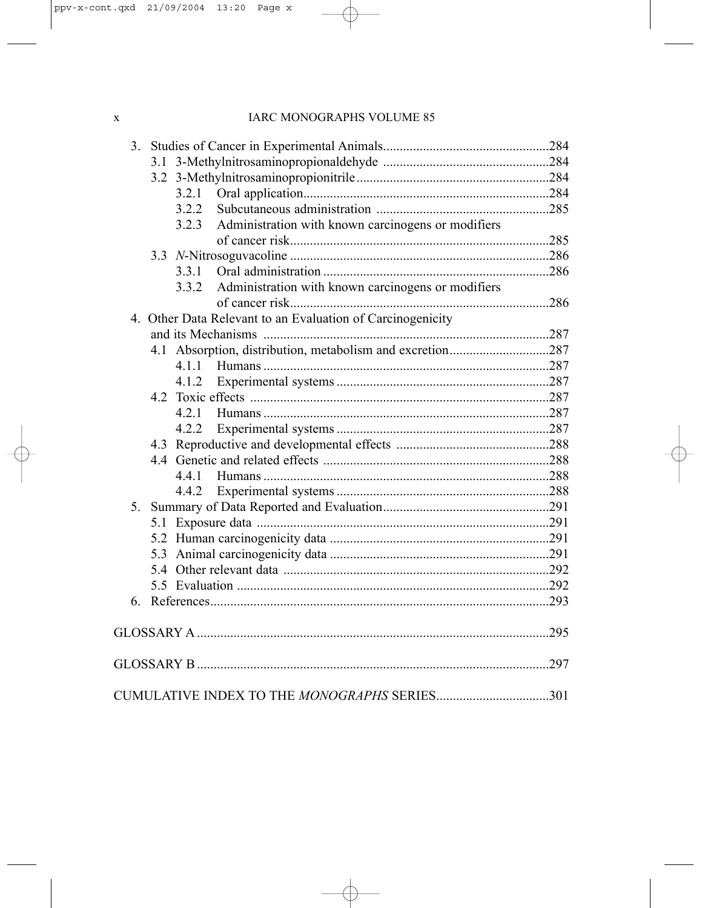| 3 <sub>1</sub> |                                                             |      |
|----------------|-------------------------------------------------------------|------|
|                |                                                             |      |
|                |                                                             |      |
|                |                                                             |      |
|                | 3.2.2                                                       |      |
|                | Administration with known carcinogens or modifiers<br>3.2.3 |      |
|                |                                                             |      |
|                |                                                             |      |
|                | 3.3.1                                                       |      |
|                | Administration with known carcinogens or modifiers<br>3.3.2 |      |
|                |                                                             |      |
|                | 4. Other Data Relevant to an Evaluation of Carcinogenicity  |      |
|                |                                                             |      |
|                | 4.1 Absorption, distribution, metabolism and excretion287   |      |
|                | 4 1 1                                                       |      |
|                | 4.1.2                                                       |      |
|                |                                                             |      |
|                |                                                             |      |
|                | 4.2.2                                                       |      |
|                |                                                             |      |
|                |                                                             |      |
|                | 4.4.1                                                       |      |
|                | 4.4.2                                                       |      |
| 5.             |                                                             |      |
|                |                                                             |      |
|                |                                                             |      |
|                |                                                             |      |
|                |                                                             |      |
|                |                                                             |      |
| 6              |                                                             |      |
|                |                                                             |      |
|                |                                                             | 297  |
|                |                                                             |      |
|                |                                                             | .301 |